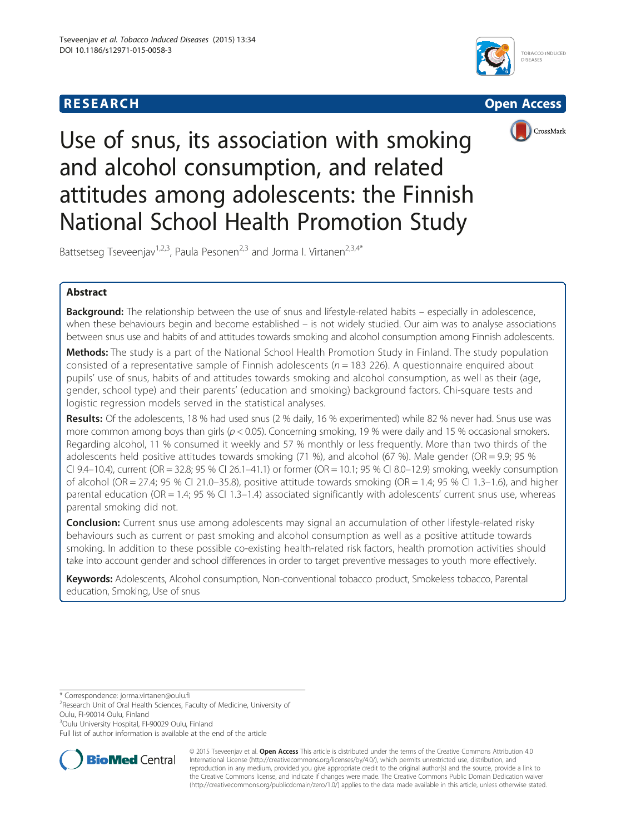





Use of snus, its association with smoking and alcohol consumption, and related attitudes among adolescents: the Finnish National School Health Promotion Study

Battsetseg Tseveenjav<sup>1,2,3</sup>, Paula Pesonen<sup>2,3</sup> and Jorma I. Virtanen<sup>2,3,4\*</sup>

# Abstract

**Background:** The relationship between the use of snus and lifestyle-related habits – especially in adolescence, when these behaviours begin and become established – is not widely studied. Our aim was to analyse associations between snus use and habits of and attitudes towards smoking and alcohol consumption among Finnish adolescents.

Methods: The study is a part of the National School Health Promotion Study in Finland. The study population consisted of a representative sample of Finnish adolescents ( $n = 183$  226). A questionnaire enquired about pupils' use of snus, habits of and attitudes towards smoking and alcohol consumption, as well as their (age, gender, school type) and their parents' (education and smoking) background factors. Chi-square tests and logistic regression models served in the statistical analyses.

Results: Of the adolescents, 18 % had used snus (2 % daily, 16 % experimented) while 82 % never had. Snus use was more common among boys than girls ( $p < 0.05$ ). Concerning smoking, 19 % were daily and 15 % occasional smokers. Regarding alcohol, 11 % consumed it weekly and 57 % monthly or less frequently. More than two thirds of the adolescents held positive attitudes towards smoking (71 %), and alcohol (67 %). Male gender (OR = 9.9; 95 % CI 9.4–10.4), current (OR = 32.8; 95 % CI 26.1–41.1) or former (OR = 10.1; 95 % CI 8.0–12.9) smoking, weekly consumption of alcohol (OR = 27.4; 95 % CI 21.0–35.8), positive attitude towards smoking (OR = 1.4; 95 % CI 1.3–1.6), and higher parental education (OR = 1.4; 95 % CI 1.3–1.4) associated significantly with adolescents' current snus use, whereas parental smoking did not.

**Conclusion:** Current snus use among adolescents may signal an accumulation of other lifestyle-related risky behaviours such as current or past smoking and alcohol consumption as well as a positive attitude towards smoking. In addition to these possible co-existing health-related risk factors, health promotion activities should take into account gender and school differences in order to target preventive messages to youth more effectively.

Keywords: Adolescents, Alcohol consumption, Non-conventional tobacco product, Smokeless tobacco, Parental education, Smoking, Use of snus

\* Correspondence: [jorma.virtanen@oulu.fi](mailto:jorma.virtanen@oulu.fi) <sup>2</sup>

<sup>2</sup>Research Unit of Oral Health Sciences, Faculty of Medicine, University of Oulu, FI-90014 Oulu, Finland

<sup>3</sup>Oulu University Hospital, FI-90029 Oulu, Finland

Full list of author information is available at the end of the article



© 2015 Tseveenjav et al. Open Access This article is distributed under the terms of the Creative Commons Attribution 4.0 International License [\(http://creativecommons.org/licenses/by/4.0/](http://creativecommons.org/licenses/by/4.0/)), which permits unrestricted use, distribution, and reproduction in any medium, provided you give appropriate credit to the original author(s) and the source, provide a link to the Creative Commons license, and indicate if changes were made. The Creative Commons Public Domain Dedication waiver [\(http://creativecommons.org/publicdomain/zero/1.0/](http://creativecommons.org/publicdomain/zero/1.0/)) applies to the data made available in this article, unless otherwise stated.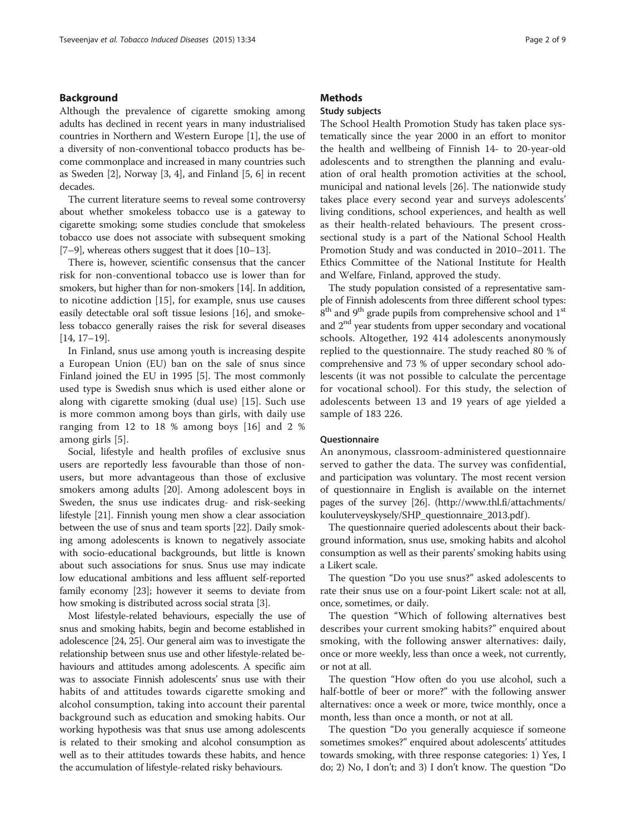## Background

Although the prevalence of cigarette smoking among adults has declined in recent years in many industrialised countries in Northern and Western Europe [[1\]](#page-8-0), the use of a diversity of non-conventional tobacco products has become commonplace and increased in many countries such as Sweden [\[2\]](#page-8-0), Norway [[3, 4\]](#page-8-0), and Finland [\[5](#page-8-0), [6](#page-8-0)] in recent decades.

The current literature seems to reveal some controversy about whether smokeless tobacco use is a gateway to cigarette smoking; some studies conclude that smokeless tobacco use does not associate with subsequent smoking [[7](#page-8-0)–[9](#page-8-0)], whereas others suggest that it does [\[10](#page-8-0)–[13\]](#page-8-0).

There is, however, scientific consensus that the cancer risk for non-conventional tobacco use is lower than for smokers, but higher than for non-smokers [\[14\]](#page-8-0). In addition, to nicotine addiction [[15\]](#page-8-0), for example, snus use causes easily detectable oral soft tissue lesions [\[16\]](#page-8-0), and smokeless tobacco generally raises the risk for several diseases [[14](#page-8-0), [17](#page-8-0)–[19](#page-8-0)].

In Finland, snus use among youth is increasing despite a European Union (EU) ban on the sale of snus since Finland joined the EU in 1995 [[5\]](#page-8-0). The most commonly used type is Swedish snus which is used either alone or along with cigarette smoking (dual use) [\[15](#page-8-0)]. Such use is more common among boys than girls, with daily use ranging from 12 to 18 % among boys [[16\]](#page-8-0) and 2 % among girls [[5\]](#page-8-0).

Social, lifestyle and health profiles of exclusive snus users are reportedly less favourable than those of nonusers, but more advantageous than those of exclusive smokers among adults [[20\]](#page-8-0). Among adolescent boys in Sweden, the snus use indicates drug- and risk-seeking lifestyle [\[21\]](#page-8-0). Finnish young men show a clear association between the use of snus and team sports [[22](#page-8-0)]. Daily smoking among adolescents is known to negatively associate with socio-educational backgrounds, but little is known about such associations for snus. Snus use may indicate low educational ambitions and less affluent self-reported family economy [[23](#page-8-0)]; however it seems to deviate from how smoking is distributed across social strata [\[3](#page-8-0)].

Most lifestyle-related behaviours, especially the use of snus and smoking habits, begin and become established in adolescence [[24](#page-8-0), [25](#page-8-0)]. Our general aim was to investigate the relationship between snus use and other lifestyle-related behaviours and attitudes among adolescents. A specific aim was to associate Finnish adolescents' snus use with their habits of and attitudes towards cigarette smoking and alcohol consumption, taking into account their parental background such as education and smoking habits. Our working hypothesis was that snus use among adolescents is related to their smoking and alcohol consumption as well as to their attitudes towards these habits, and hence the accumulation of lifestyle-related risky behaviours.

## **Methods**

## Study subjects

The School Health Promotion Study has taken place systematically since the year 2000 in an effort to monitor the health and wellbeing of Finnish 14- to 20-year-old adolescents and to strengthen the planning and evaluation of oral health promotion activities at the school, municipal and national levels [\[26\]](#page-8-0). The nationwide study takes place every second year and surveys adolescents' living conditions, school experiences, and health as well as their health-related behaviours. The present crosssectional study is a part of the National School Health Promotion Study and was conducted in 2010–2011. The Ethics Committee of the National Institute for Health and Welfare, Finland, approved the study.

The study population consisted of a representative sample of Finnish adolescents from three different school types: 8<sup>th</sup> and 9<sup>th</sup> grade pupils from comprehensive school and 1<sup>st</sup> and 2nd year students from upper secondary and vocational schools. Altogether, 192 414 adolescents anonymously replied to the questionnaire. The study reached 80 % of comprehensive and 73 % of upper secondary school adolescents (it was not possible to calculate the percentage for vocational school). For this study, the selection of adolescents between 13 and 19 years of age yielded a sample of 183 226.

## **Questionnaire**

An anonymous, classroom-administered questionnaire served to gather the data. The survey was confidential, and participation was voluntary. The most recent version of questionnaire in English is available on the internet pages of the survey [\[26](#page-8-0)]. [\(http://www.thl.fi/attachments/](http://www.thl.fi/attachments/kouluterveyskysely/SHP_questionnaire_2013.pdf) [kouluterveyskysely/SHP\\_questionnaire\\_2013.pdf](http://www.thl.fi/attachments/kouluterveyskysely/SHP_questionnaire_2013.pdf) ).

The questionnaire queried adolescents about their background information, snus use, smoking habits and alcohol consumption as well as their parents'smoking habits using a Likert scale.

The question "Do you use snus?" asked adolescents to rate their snus use on a four-point Likert scale: not at all, once, sometimes, or daily.

The question "Which of following alternatives best describes your current smoking habits?" enquired about smoking, with the following answer alternatives: daily, once or more weekly, less than once a week, not currently, or not at all.

The question "How often do you use alcohol, such a half-bottle of beer or more?" with the following answer alternatives: once a week or more, twice monthly, once a month, less than once a month, or not at all.

The question "Do you generally acquiesce if someone sometimes smokes?" enquired about adolescents' attitudes towards smoking, with three response categories: 1) Yes, I do; 2) No, I don't; and 3) I don't know. The question "Do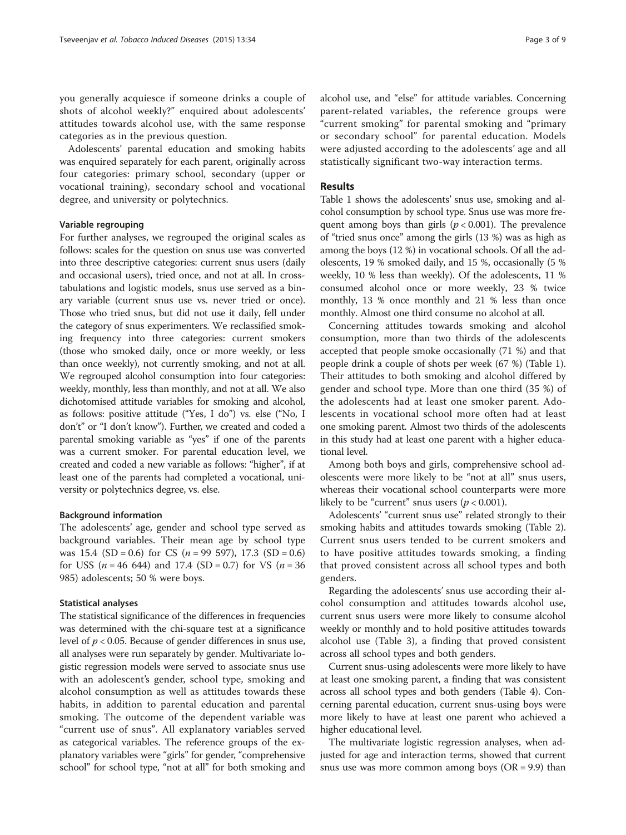you generally acquiesce if someone drinks a couple of shots of alcohol weekly?" enquired about adolescents' attitudes towards alcohol use, with the same response categories as in the previous question.

Adolescents' parental education and smoking habits was enquired separately for each parent, originally across four categories: primary school, secondary (upper or vocational training), secondary school and vocational degree, and university or polytechnics.

### Variable regrouping

For further analyses, we regrouped the original scales as follows: scales for the question on snus use was converted into three descriptive categories: current snus users (daily and occasional users), tried once, and not at all. In crosstabulations and logistic models, snus use served as a binary variable (current snus use vs. never tried or once). Those who tried snus, but did not use it daily, fell under the category of snus experimenters. We reclassified smoking frequency into three categories: current smokers (those who smoked daily, once or more weekly, or less than once weekly), not currently smoking, and not at all. We regrouped alcohol consumption into four categories: weekly, monthly, less than monthly, and not at all. We also dichotomised attitude variables for smoking and alcohol, as follows: positive attitude ("Yes, I do") vs. else ("No, I don't" or "I don't know"). Further, we created and coded a parental smoking variable as "yes" if one of the parents was a current smoker. For parental education level, we created and coded a new variable as follows: "higher", if at least one of the parents had completed a vocational, university or polytechnics degree, vs. else.

### Background information

The adolescents' age, gender and school type served as background variables. Their mean age by school type was 15.4 (SD = 0.6) for CS ( $n = 99\,597$ ), 17.3 (SD = 0.6) for USS ( $n = 46$  644) and 17.4 (SD = 0.7) for VS ( $n = 36$ 985) adolescents; 50 % were boys.

#### Statistical analyses

The statistical significance of the differences in frequencies was determined with the chi-square test at a significance level of  $p < 0.05$ . Because of gender differences in snus use, all analyses were run separately by gender. Multivariate logistic regression models were served to associate snus use with an adolescent's gender, school type, smoking and alcohol consumption as well as attitudes towards these habits, in addition to parental education and parental smoking. The outcome of the dependent variable was "current use of snus". All explanatory variables served as categorical variables. The reference groups of the explanatory variables were "girls" for gender, "comprehensive school" for school type, "not at all" for both smoking and

alcohol use, and "else" for attitude variables. Concerning parent-related variables, the reference groups were "current smoking" for parental smoking and "primary or secondary school" for parental education. Models were adjusted according to the adolescents' age and all statistically significant two-way interaction terms.

## Results

Table [1](#page-3-0) shows the adolescents' snus use, smoking and alcohol consumption by school type. Snus use was more frequent among boys than girls ( $p < 0.001$ ). The prevalence of "tried snus once" among the girls (13 %) was as high as among the boys (12 %) in vocational schools. Of all the adolescents, 19 % smoked daily, and 15 %, occasionally (5 % weekly, 10 % less than weekly). Of the adolescents, 11 % consumed alcohol once or more weekly, 23 % twice monthly, 13 % once monthly and 21 % less than once monthly. Almost one third consume no alcohol at all.

Concerning attitudes towards smoking and alcohol consumption, more than two thirds of the adolescents accepted that people smoke occasionally (71 %) and that people drink a couple of shots per week (67 %) (Table [1](#page-3-0)). Their attitudes to both smoking and alcohol differed by gender and school type. More than one third (35 %) of the adolescents had at least one smoker parent. Adolescents in vocational school more often had at least one smoking parent. Almost two thirds of the adolescents in this study had at least one parent with a higher educational level.

Among both boys and girls, comprehensive school adolescents were more likely to be "not at all" snus users, whereas their vocational school counterparts were more likely to be "current" snus users ( $p < 0.001$ ).

Adolescents' "current snus use" related strongly to their smoking habits and attitudes towards smoking (Table [2](#page-4-0)). Current snus users tended to be current smokers and to have positive attitudes towards smoking, a finding that proved consistent across all school types and both genders.

Regarding the adolescents' snus use according their alcohol consumption and attitudes towards alcohol use, current snus users were more likely to consume alcohol weekly or monthly and to hold positive attitudes towards alcohol use (Table [3\)](#page-5-0), a finding that proved consistent across all school types and both genders.

Current snus-using adolescents were more likely to have at least one smoking parent, a finding that was consistent across all school types and both genders (Table [4](#page-6-0)). Concerning parental education, current snus-using boys were more likely to have at least one parent who achieved a higher educational level.

The multivariate logistic regression analyses, when adjusted for age and interaction terms, showed that current snus use was more common among boys  $(OR = 9.9)$  than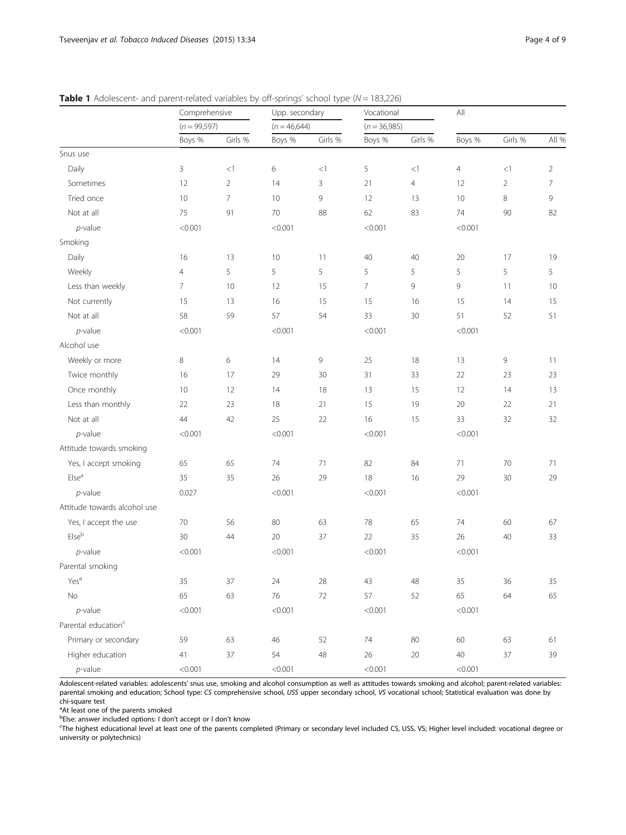<span id="page-3-0"></span>

|                                 | Comprehensive<br>$(n = 99,597)$ |                | Upp. secondary<br>$(n = 46,644)$ |         | Vocational<br>$(n = 36,985)$ |         | All            |                |                |
|---------------------------------|---------------------------------|----------------|----------------------------------|---------|------------------------------|---------|----------------|----------------|----------------|
|                                 |                                 |                |                                  |         |                              |         |                |                |                |
|                                 | Boys %                          | Girls %        | Boys %                           | Girls % | Boys %                       | Girls % | Boys %         | Girls %        | All %          |
| Snus use                        |                                 |                |                                  |         |                              |         |                |                |                |
| Daily                           | $\mathsf{3}$                    | <1             | 6                                | <1      | 5                            | <1      | $\overline{4}$ | <1             | $\overline{2}$ |
| Sometimes                       | 12                              | $\overline{2}$ | 14                               | 3       | 21                           | 4       | 12             | $\overline{2}$ | $\overline{7}$ |
| Tried once                      | 10                              | $\overline{7}$ | 10                               | 9       | 12                           | 13      | 10             | 8              | 9              |
| Not at all                      | 75                              | 91             | 70                               | 88      | 62                           | 83      | 74             | 90             | 82             |
| $p$ -value                      | < 0.001                         |                | < 0.001                          |         | < 0.001                      |         | < 0.001        |                |                |
| Smoking                         |                                 |                |                                  |         |                              |         |                |                |                |
| Daily                           | 16                              | 13             | 10                               | 11      | 40                           | 40      | 20             | 17             | 19             |
| Weekly                          | $\overline{4}$                  | 5              | 5                                | 5       | 5                            | 5       | 5              | 5              | 5              |
| Less than weekly                | $\overline{7}$                  | 10             | 12                               | 15      | $\overline{7}$               | 9       | 9              | 11             | 10             |
| Not currently                   | 15                              | 13             | 16                               | 15      | 15                           | 16      | 15             | 14             | 15             |
| Not at all                      | 58                              | 59             | 57                               | 54      | 33                           | 30      | 51             | 52             | 51             |
| $p$ -value                      | < 0.001                         |                | < 0.001                          |         | < 0.001                      |         | < 0.001        |                |                |
| Alcohol use                     |                                 |                |                                  |         |                              |         |                |                |                |
| Weekly or more                  | 8                               | 6              | 14                               | 9       | 25                           | 18      | 13             | 9              | 11             |
| Twice monthly                   | 16                              | 17             | 29                               | 30      | 31                           | 33      | 22             | 23             | 23             |
| Once monthly                    | 10                              | 12             | 14                               | 18      | 13                           | 15      | 12             | 14             | 13             |
| Less than monthly               | 22                              | 23             | 18                               | 21      | 15                           | 19      | 20             | 22             | 21             |
| Not at all                      | 44                              | 42             | 25                               | 22      | 16                           | 15      | 33             | 32             | 32             |
| $p$ -value                      | < 0.001                         |                | < 0.001                          |         | < 0.001                      |         |                | < 0.001        |                |
| Attitude towards smoking        |                                 |                |                                  |         |                              |         |                |                |                |
| Yes, I accept smoking           | 65                              | 65             | 74                               | 71      | 82                           | 84      | 71             | 70             | 71             |
| Else <sup>a</sup>               | 35                              | 35             | 26                               | 29      | 18                           | 16      | 29             | 30             | 29             |
| $p$ -value                      | 0.027                           |                | < 0.001                          |         | < 0.001                      |         | < 0.001        |                |                |
| Attitude towards alcohol use    |                                 |                |                                  |         |                              |         |                |                |                |
| Yes, I accept the use           | 70                              | 56             | 80                               | 63      | 78                           | 65      | 74             | 60             | 67             |
| ${\sf Else}^{\sf b}$            | 30                              | 44             | 20                               | 37      | 22                           | 35      | 26             | 40             | 33             |
| $p$ -value                      | < 0.001                         |                | < 0.001                          |         | < 0.001                      |         | < 0.001        |                |                |
| Parental smoking                |                                 |                |                                  |         |                              |         |                |                |                |
| Yes <sup>a</sup>                | 35                              | 37             | 24                               | 28      | 43                           | 48      | 35             | 36             | 35             |
| No                              | 65                              | 63             | 76                               | $72\,$  | 57                           | 52      | 65             | 64             | 65             |
| $p$ -value                      | < 0.001                         |                | < 0.001                          |         | < 0.001                      |         | < 0.001        |                |                |
| Parental education <sup>c</sup> |                                 |                |                                  |         |                              |         |                |                |                |
| Primary or secondary            | 59                              | 63             | 46                               | 52      | 74                           | 80      | 60             | 63             | 61             |
| Higher education                | 41                              | 37             | 54                               | 48      | 26                           | 20      | 40             | 37             | 39             |
| $p$ -value                      | < 0.001                         |                | < 0.001                          |         | < 0.001                      |         | < 0.001        |                |                |

Adolescent-related variables: adolescents' snus use, smoking and alcohol consumption as well as attitudes towards smoking and alcohol; parent-related variables: parental smoking and education; School type: CS comprehensive school, USS upper secondary school, VS vocational school; Statistical evaluation was done by chi-square test

<sup>a</sup>At least one of the parents smoked

belse: answer included options: I don't accept or I don't know<br>Sthe bighest educational level at least one of the parents con-

The highest educational level at least one of the parents completed (Primary or secondary level included CS, USS, VS; Higher level included: vocational degree or university or polytechnics)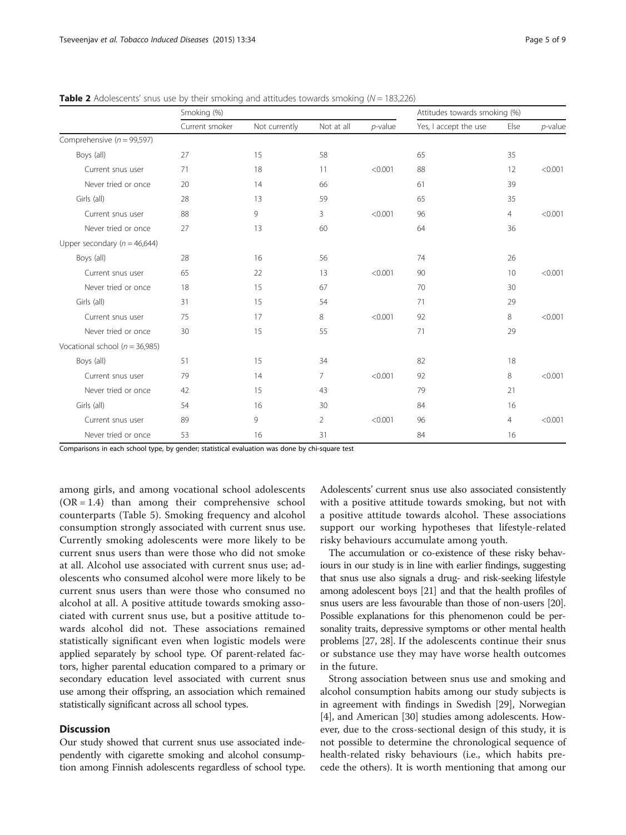|                                    | Smoking (%)    |               |                |            | Attitudes towards smoking (%) |      |            |
|------------------------------------|----------------|---------------|----------------|------------|-------------------------------|------|------------|
|                                    | Current smoker | Not currently | Not at all     | $p$ -value | Yes, I accept the use         | Else | $p$ -value |
| Comprehensive ( $n = 99,597$ )     |                |               |                |            |                               |      |            |
| Boys (all)                         | 27             | 15            | 58             |            | 65                            | 35   |            |
| Current snus user                  | 71             | 18            | 11             | < 0.001    | 88                            | 12   | < 0.001    |
| Never tried or once                | 20             | 14            | 66             |            | 61                            | 39   |            |
| Girls (all)                        | 28             | 13            | 59             |            | 65                            | 35   |            |
| Current snus user                  | 88             | 9             | 3              | < 0.001    | 96                            | 4    | < 0.001    |
| Never tried or once                | 27             | 13            | 60             |            | 64                            | 36   |            |
| Upper secondary ( $n = 46,644$ )   |                |               |                |            |                               |      |            |
| Boys (all)                         | 28             | 16            | 56             |            | 74                            | 26   |            |
| Current snus user                  | 65             | 22            | 13             | < 0.001    | 90                            | 10   | < 0.001    |
| Never tried or once                | 18             | 15            | 67             |            | 70                            | 30   |            |
| Girls (all)                        | 31             | 15            | 54             |            | 71                            | 29   |            |
| Current snus user                  | 75             | 17            | 8              | < 0.001    | 92                            | 8    | < 0.001    |
| Never tried or once                | 30             | 15            | 55             |            | 71                            | 29   |            |
| Vocational school ( $n = 36,985$ ) |                |               |                |            |                               |      |            |
| Boys (all)                         | 51             | 15            | 34             |            | 82                            | 18   |            |
| Current snus user                  | 79             | 14            | $\overline{7}$ | < 0.001    | 92                            | 8    | < 0.001    |
| Never tried or once                | 42             | 15            | 43             |            | 79                            | 21   |            |
| Girls (all)                        | 54             | 16            | 30             |            | 84                            | 16   |            |
| Current snus user                  | 89             | 9             | $\overline{2}$ | < 0.001    | 96                            | 4    | < 0.001    |
| Never tried or once                | 53             | 16            | 31             |            | 84                            | 16   |            |

<span id="page-4-0"></span>**Table 2** Adolescents' snus use by their smoking and attitudes towards smoking  $(N = 183, 226)$ 

Comparisons in each school type, by gender; statistical evaluation was done by chi-square test

among girls, and among vocational school adolescents  $(OR = 1.4)$  than among their comprehensive school counterparts (Table [5\)](#page-7-0). Smoking frequency and alcohol consumption strongly associated with current snus use. Currently smoking adolescents were more likely to be current snus users than were those who did not smoke at all. Alcohol use associated with current snus use; adolescents who consumed alcohol were more likely to be current snus users than were those who consumed no alcohol at all. A positive attitude towards smoking associated with current snus use, but a positive attitude towards alcohol did not. These associations remained statistically significant even when logistic models were applied separately by school type. Of parent-related factors, higher parental education compared to a primary or secondary education level associated with current snus use among their offspring, an association which remained statistically significant across all school types.

## **Discussion**

Our study showed that current snus use associated independently with cigarette smoking and alcohol consumption among Finnish adolescents regardless of school type.

Adolescents' current snus use also associated consistently with a positive attitude towards smoking, but not with a positive attitude towards alcohol. These associations support our working hypotheses that lifestyle-related risky behaviours accumulate among youth.

The accumulation or co-existence of these risky behaviours in our study is in line with earlier findings, suggesting that snus use also signals a drug- and risk-seeking lifestyle among adolescent boys [\[21\]](#page-8-0) and that the health profiles of snus users are less favourable than those of non-users [\[20](#page-8-0)]. Possible explanations for this phenomenon could be personality traits, depressive symptoms or other mental health problems [\[27, 28](#page-8-0)]. If the adolescents continue their snus or substance use they may have worse health outcomes in the future.

Strong association between snus use and smoking and alcohol consumption habits among our study subjects is in agreement with findings in Swedish [[29\]](#page-8-0), Norwegian [[4\]](#page-8-0), and American [\[30](#page-8-0)] studies among adolescents. However, due to the cross-sectional design of this study, it is not possible to determine the chronological sequence of health-related risky behaviours (i.e., which habits precede the others). It is worth mentioning that among our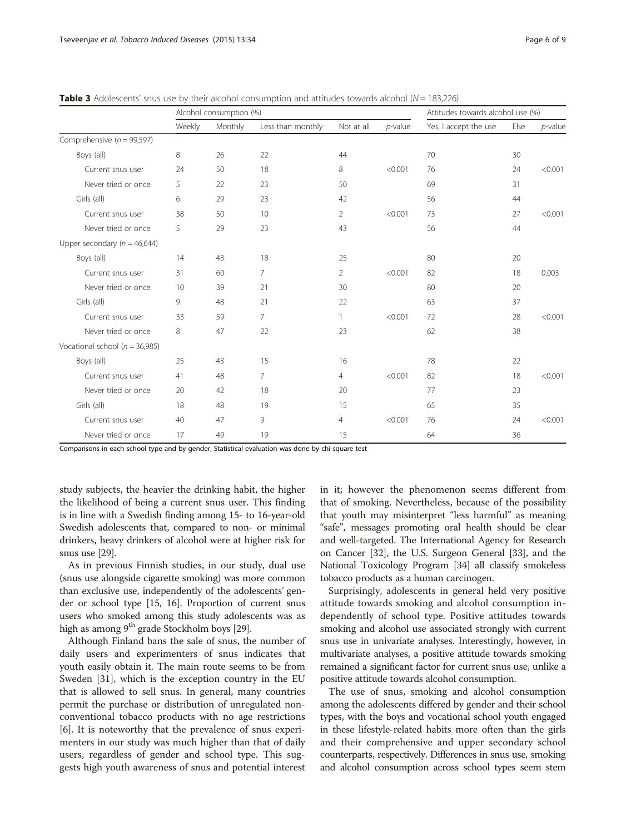|                                    | Alcohol consumption (%) |         | Attitudes towards alcohol use (%) |                       |            |                       |      |            |
|------------------------------------|-------------------------|---------|-----------------------------------|-----------------------|------------|-----------------------|------|------------|
|                                    | Weekly                  | Monthly | Less than monthly                 | Not at all            | $p$ -value | Yes, I accept the use | Else | $p$ -value |
| Comprehensive ( $n = 99,597$ )     |                         |         |                                   |                       |            |                       |      |            |
| Boys (all)                         | 8                       | 26      | 22                                | 44                    |            | 70                    | 30   |            |
| Current snus user                  | 24                      | 50      | 18                                | 8                     | < 0.001    | 76                    | 24   | < 0.001    |
| Never tried or once                | 5                       | 22      | 23                                | 50                    |            | 69                    | 31   |            |
| Girls (all)                        | 6                       | 29      | 23                                | 42                    |            | 56                    | 44   |            |
| Current snus user                  | 38                      | 50      | 10                                | $\mathbf{2}^{\prime}$ | < 0.001    | 73                    | 27   | < 0.001    |
| Never tried or once                | 5                       | 29      | 23                                | 43                    |            | 56                    | 44   |            |
| Upper secondary ( $n = 46,644$ )   |                         |         |                                   |                       |            |                       |      |            |
| Boys (all)                         | 14                      | 43      | 18                                | 25                    |            | 80                    | 20   |            |
| Current snus user                  | 31                      | 60      | 7                                 | 2                     | < 0.001    | 82                    | 18   | 0.003      |
| Never tried or once                | 10                      | 39      | 21                                | 30                    |            | 80                    | 20   |            |
| Girls (all)                        | 9                       | 48      | 21                                | 22                    |            | 63                    | 37   |            |
| Current snus user                  | 33                      | 59      | 7.                                | $\mathbf{1}$          | < 0.001    | 72                    | 28   | < 0.001    |
| Never tried or once                | 8                       | 47      | 22                                | 23                    |            | 62                    | 38   |            |
| Vocational school ( $n = 36,985$ ) |                         |         |                                   |                       |            |                       |      |            |
| Boys (all)                         | 25                      | 43      | 15                                | 16                    |            | 78                    | 22   |            |
| Current snus user                  | 41                      | 48      | $\overline{7}$                    | $\overline{4}$        | < 0.001    | 82                    | 18   | < 0.001    |
| Never tried or once                | 20                      | 42      | 18                                | 20                    |            | 77                    | 23   |            |
| Girls (all)                        | 18                      | 48      | 19                                | 15                    |            | 65                    | 35   |            |
| Current snus user                  | 40                      | 47      | 9                                 | 4                     | < 0.001    | 76                    | 24   | < 0.001    |
| Never tried or once                | 17                      | 49      | 19                                | 15                    |            | 64                    | 36   |            |

<span id="page-5-0"></span>**Table 3** Adolescents' snus use by their alcohol consumption and attitudes towards alcohol ( $N = 183,226$ )

Comparisons in each school type and by gender; Statistical evaluation was done by chi-square test

study subjects, the heavier the drinking habit, the higher the likelihood of being a current snus user. This finding is in line with a Swedish finding among 15- to 16-year-old Swedish adolescents that, compared to non- or minimal drinkers, heavy drinkers of alcohol were at higher risk for snus use [\[29\]](#page-8-0).

As in previous Finnish studies, in our study, dual use (snus use alongside cigarette smoking) was more common than exclusive use, independently of the adolescents' gender or school type [\[15, 16](#page-8-0)]. Proportion of current snus users who smoked among this study adolescents was as high as among  $9^{th}$  grade Stockholm boys [[29\]](#page-8-0).

Although Finland bans the sale of snus, the number of daily users and experimenters of snus indicates that youth easily obtain it. The main route seems to be from Sweden [\[31\]](#page-8-0), which is the exception country in the EU that is allowed to sell snus. In general, many countries permit the purchase or distribution of unregulated nonconventional tobacco products with no age restrictions [[6\]](#page-8-0). It is noteworthy that the prevalence of snus experimenters in our study was much higher than that of daily users, regardless of gender and school type. This suggests high youth awareness of snus and potential interest

in it; however the phenomenon seems different from that of smoking. Nevertheless, because of the possibility that youth may misinterpret "less harmful" as meaning "safe", messages promoting oral health should be clear and well-targeted. The International Agency for Research on Cancer [\[32\]](#page-8-0), the U.S. Surgeon General [[33](#page-8-0)], and the National Toxicology Program [[34](#page-8-0)] all classify smokeless tobacco products as a human carcinogen.

Surprisingly, adolescents in general held very positive attitude towards smoking and alcohol consumption independently of school type. Positive attitudes towards smoking and alcohol use associated strongly with current snus use in univariate analyses. Interestingly, however, in multivariate analyses, a positive attitude towards smoking remained a significant factor for current snus use, unlike a positive attitude towards alcohol consumption.

The use of snus, smoking and alcohol consumption among the adolescents differed by gender and their school types, with the boys and vocational school youth engaged in these lifestyle-related habits more often than the girls and their comprehensive and upper secondary school counterparts, respectively. Differences in snus use, smoking and alcohol consumption across school types seem stem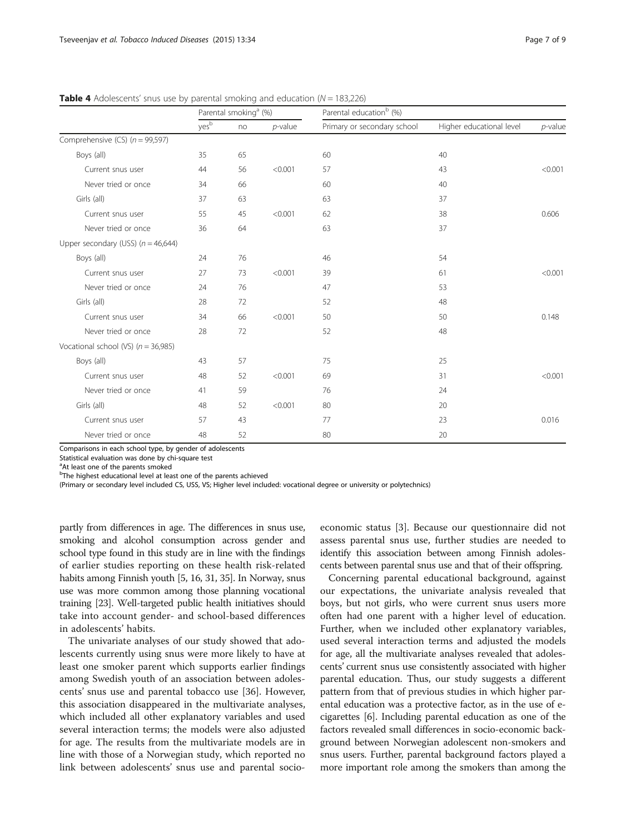|                                       | Parental smoking <sup>a</sup> (%) |    |            | Parental education <sup>b</sup> (%) |                          |            |  |
|---------------------------------------|-----------------------------------|----|------------|-------------------------------------|--------------------------|------------|--|
|                                       | yesb                              | no | $p$ -value | Primary or secondary school         | Higher educational level | $p$ -value |  |
| Comprehensive (CS) $(n = 99,597)$     |                                   |    |            |                                     |                          |            |  |
| Boys (all)                            | 35                                | 65 |            | 60                                  | 40                       |            |  |
| Current snus user                     | 44                                | 56 | < 0.001    | 57                                  | 43                       | < 0.001    |  |
| Never tried or once                   | 34                                | 66 |            | 60                                  | 40                       |            |  |
| Girls (all)                           | 37                                | 63 |            | 63                                  | 37                       |            |  |
| Current snus user                     | 55                                | 45 | < 0.001    | 62                                  | 38                       | 0.606      |  |
| Never tried or once                   | 36                                | 64 |            | 63                                  | 37                       |            |  |
| Upper secondary (USS) $(n = 46,644)$  |                                   |    |            |                                     |                          |            |  |
| Boys (all)                            | 24                                | 76 |            | 46                                  | 54                       |            |  |
| Current snus user                     | 27                                | 73 | < 0.001    | 39                                  | 61                       | < 0.001    |  |
| Never tried or once                   | 24                                | 76 |            | 47                                  | 53                       |            |  |
| Girls (all)                           | 28                                | 72 |            | 52                                  | 48                       |            |  |
| Current snus user                     | 34                                | 66 | < 0.001    | 50                                  | 50                       | 0.148      |  |
| Never tried or once                   | 28                                | 72 |            | 52                                  | 48                       |            |  |
| Vocational school (VS) $(n = 36,985)$ |                                   |    |            |                                     |                          |            |  |
| Boys (all)                            | 43                                | 57 |            | 75                                  | 25                       |            |  |
| Current snus user                     | 48                                | 52 | < 0.001    | 69                                  | 31                       | < 0.001    |  |
| Never tried or once                   | 41                                | 59 |            | 76                                  | 24                       |            |  |
| Girls (all)                           | 48                                | 52 | < 0.001    | 80                                  | 20                       |            |  |
| Current snus user                     | 57                                | 43 |            | 77                                  | 23                       | 0.016      |  |
| Never tried or once                   | 48                                | 52 |            | 80                                  | 20                       |            |  |

<span id="page-6-0"></span>**Table 4** Adolescents' snus use by parental smoking and education  $(N = 183, 226)$ 

Comparisons in each school type, by gender of adolescents

Statistical evaluation was done by chi-square test

<sup>a</sup>At least one of the parents smoked

<sup>b</sup>The highest educational level at least one of the parents achieved

(Primary or secondary level included CS, USS, VS; Higher level included: vocational degree or university or polytechnics)

partly from differences in age. The differences in snus use, smoking and alcohol consumption across gender and school type found in this study are in line with the findings of earlier studies reporting on these health risk-related habits among Finnish youth [\[5, 16, 31, 35\]](#page-8-0). In Norway, snus use was more common among those planning vocational training [[23](#page-8-0)]. Well-targeted public health initiatives should take into account gender- and school-based differences in adolescents' habits.

The univariate analyses of our study showed that adolescents currently using snus were more likely to have at least one smoker parent which supports earlier findings among Swedish youth of an association between adolescents' snus use and parental tobacco use [[36](#page-8-0)]. However, this association disappeared in the multivariate analyses, which included all other explanatory variables and used several interaction terms; the models were also adjusted for age. The results from the multivariate models are in line with those of a Norwegian study, which reported no link between adolescents' snus use and parental socioeconomic status [\[3](#page-8-0)]. Because our questionnaire did not assess parental snus use, further studies are needed to identify this association between among Finnish adolescents between parental snus use and that of their offspring.

Concerning parental educational background, against our expectations, the univariate analysis revealed that boys, but not girls, who were current snus users more often had one parent with a higher level of education. Further, when we included other explanatory variables, used several interaction terms and adjusted the models for age, all the multivariate analyses revealed that adolescents' current snus use consistently associated with higher parental education. Thus, our study suggests a different pattern from that of previous studies in which higher parental education was a protective factor, as in the use of ecigarettes [\[6](#page-8-0)]. Including parental education as one of the factors revealed small differences in socio-economic background between Norwegian adolescent non-smokers and snus users. Further, parental background factors played a more important role among the smokers than among the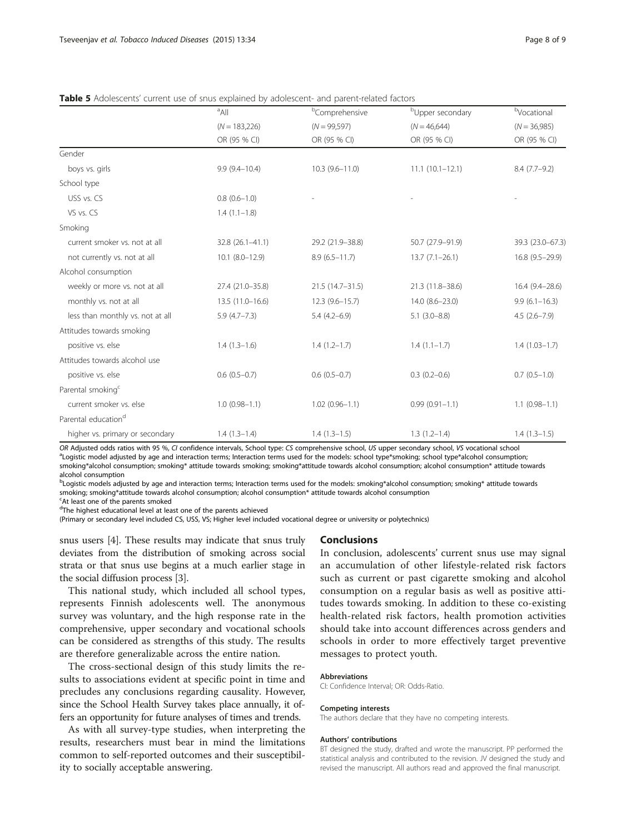|                                  | <sup>a</sup> All    | <sup>b</sup> Comprehensive | <sup>b</sup> Upper secondary | bVocational       |
|----------------------------------|---------------------|----------------------------|------------------------------|-------------------|
|                                  | $(N = 183,226)$     | $(N = 99,597)$             | $(N = 46,644)$               | $(N = 36,985)$    |
|                                  | OR (95 % CI)        | OR (95 % CI)               | OR (95 % CI)                 | OR (95 % CI)      |
| Gender                           |                     |                            |                              |                   |
| boys vs. girls                   | $9.9(9.4 - 10.4)$   | $10.3(9.6 - 11.0)$         | $11.1(10.1 - 12.1)$          | $8.4(7.7-9.2)$    |
| School type                      |                     |                            |                              |                   |
| USS vs. CS                       | $0.8(0.6-1.0)$      |                            |                              |                   |
| VS vs. CS                        | $1.4(1.1-1.8)$      |                            |                              |                   |
| Smoking                          |                     |                            |                              |                   |
| current smoker vs. not at all    | 32.8 (26.1-41.1)    | 29.2 (21.9-38.8)           | 50.7 (27.9-91.9)             | 39.3 (23.0-67.3)  |
| not currently vs. not at all     | $10.1 (8.0 - 12.9)$ | $8.9(6.5 - 11.7)$          | $13.7 (7.1 - 26.1)$          | 16.8 (9.5-29.9)   |
| Alcohol consumption              |                     |                            |                              |                   |
| weekly or more vs. not at all    | 27.4 (21.0-35.8)    | 21.5 (14.7-31.5)           | 21.3 (11.8-38.6)             | 16.4 (9.4-28.6)   |
| monthly vs. not at all           | 13.5 (11.0-16.6)    | $12.3(9.6 - 15.7)$         | 14.0 (8.6-23.0)              | $9.9(6.1 - 16.3)$ |
| less than monthly vs. not at all | $5.9(4.7 - 7.3)$    | $5.4(4.2 - 6.9)$           | $5.1(3.0 - 8.8)$             | $4.5(2.6 - 7.9)$  |
| Attitudes towards smoking        |                     |                            |                              |                   |
| positive vs. else                | $1.4(1.3-1.6)$      | $1.4(1.2-1.7)$             | $1.4(1.1-1.7)$               | $1.4(1.03-1.7)$   |
| Attitudes towards alcohol use    |                     |                            |                              |                   |
| positive vs. else                | $0.6(0.5-0.7)$      | $0.6(0.5 - 0.7)$           | $0.3(0.2 - 0.6)$             | $0.7(0.5-1.0)$    |
| Parental smoking <sup>c</sup>    |                     |                            |                              |                   |
| current smoker vs. else          | $1.0(0.98 - 1.1)$   | $1.02(0.96 - 1.1)$         | $0.99(0.91 - 1.1)$           | $1.1(0.98 - 1.1)$ |
| Parental education <sup>d</sup>  |                     |                            |                              |                   |
| higher vs. primary or secondary  | $1.4(1.3-1.4)$      | $1.4(1.3-1.5)$             | $1.3(1.2-1.4)$               | $1.4(1.3-1.5)$    |

<span id="page-7-0"></span>Table 5 Adolescents' current use of snus explained by adolescent- and parent-related factors

OR Adjusted odds ratios with 95 %, CI confidence intervals, School type: CS comprehensive school, US upper secondary school, VS vocational school <sup>a</sup> Logistic model adjusted by age and interaction terms; Interaction terms used for the models: school type\*smoking; school type\*alcohol consumption; smoking\*alcohol consumption; smoking\* attitude towards smoking; smoking\*attitude towards alcohol consumption; alcohol consumption\* attitude towards alcohol consumption

b Logistic models adjusted by age and interaction terms; Interaction terms used for the models: smoking\*alcohol consumption; smoking\* attitude towards smoking; smoking\*attitude towards alcohol consumption; alcohol consumption\* attitude towards alcohol consumption

<sup>c</sup>At least one of the parents smoked

<sup>d</sup>The highest educational level at least one of the parents achieved

(Primary or secondary level included CS, USS, VS; Higher level included vocational degree or university or polytechnics)

snus users [\[4](#page-8-0)]. These results may indicate that snus truly deviates from the distribution of smoking across social strata or that snus use begins at a much earlier stage in the social diffusion process [[3](#page-8-0)].

This national study, which included all school types, represents Finnish adolescents well. The anonymous survey was voluntary, and the high response rate in the comprehensive, upper secondary and vocational schools can be considered as strengths of this study. The results are therefore generalizable across the entire nation.

The cross-sectional design of this study limits the results to associations evident at specific point in time and precludes any conclusions regarding causality. However, since the School Health Survey takes place annually, it offers an opportunity for future analyses of times and trends.

As with all survey-type studies, when interpreting the results, researchers must bear in mind the limitations common to self-reported outcomes and their susceptibility to socially acceptable answering.

## **Conclusions**

In conclusion, adolescents' current snus use may signal an accumulation of other lifestyle-related risk factors such as current or past cigarette smoking and alcohol consumption on a regular basis as well as positive attitudes towards smoking. In addition to these co-existing health-related risk factors, health promotion activities should take into account differences across genders and schools in order to more effectively target preventive messages to protect youth.

## Abbreviations

CI: Confidence Interval; OR: Odds-Ratio.

#### Competing interests

The authors declare that they have no competing interests.

#### Authors' contributions

BT designed the study, drafted and wrote the manuscript. PP performed the statistical analysis and contributed to the revision. JV designed the study and revised the manuscript. All authors read and approved the final manuscript.